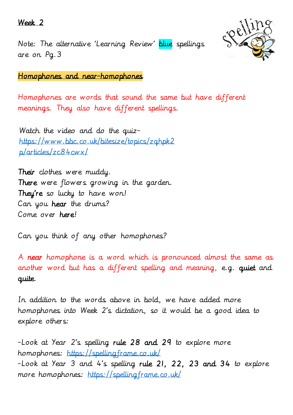#### Week 2





Homophones and near-homophones

Homophones are words that sound the same but have different meanings. They also have different spellings.

Watch the video and do the quiz[https://www.bbc.co.uk/bitesize/topics/zqhpk2](https://www.bbc.co.uk/bitesize/topics/zqhpk2p/articles/zc84cwx/) [p/articles/zc84cwx/](https://www.bbc.co.uk/bitesize/topics/zqhpk2p/articles/zc84cwx/)

Their clothes were muddy. There were flowers growing in the garden. They're so lucky to have won! Can you hear the drums? Come over here!

Can you think of any other homophones?

A near homophone is a word which is pronounced almost the same as another word but has a different spelling and meaning, e.g. quiet and quite.

In addition to the words above in bold, we have added more homophones into Week 2's dictation, so it would be a good idea to explore others:

-Look at Year 2's spelling rule 28 and 29 to explore more homophones:<https://spellingframe.co.uk/> -Look at Year 3 and 4's spelling rule 21, 22, 23 and 34 to explore more homophones:<https://spellingframe.co.uk/>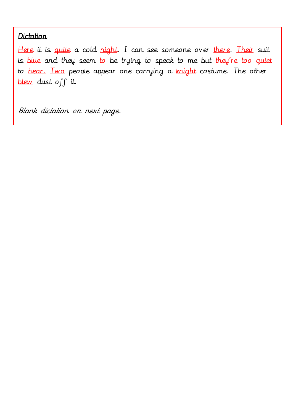### Dictation

Here it is quite a cold night. I can see someone over there. Their suit is blue and they seem to be trying to speak to me but they're too quiet to hear. Two people appear one carrying a knight costume. The other blew dust off it.

Blank dictation on next page.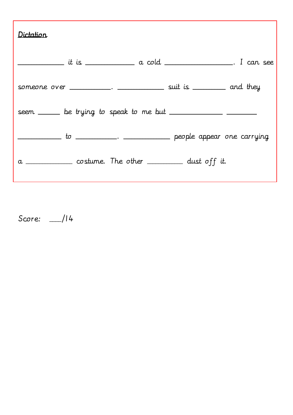| Dictation |                                                                             |  |
|-----------|-----------------------------------------------------------------------------|--|
|           | ____________ it is _______________ a cold ______________________. I can see |  |
|           | someone over __________. ______________ suit is _________ and they          |  |
|           |                                                                             |  |
|           |                                                                             |  |
|           | a _____________ costume. The other __________ dust off it.                  |  |

Score: \_\_\_\_/14